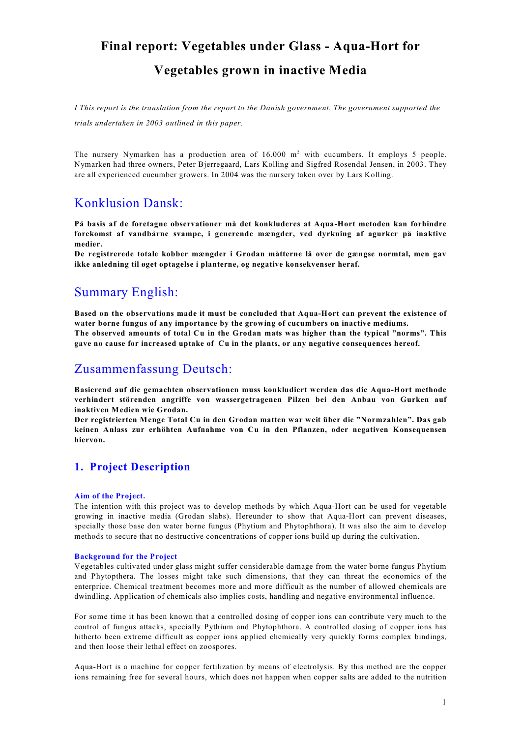# **Final report: Vegetables under Glass - Aqua-Hort for**

## **Vegetables grown in inactive Media**

*I This report is the translation from the report to the Danish government. The government supported the trials undertaken in 2003 outlined in this paper.*

The nursery Nymarken has a production area of  $16.000 \text{ m}^2$  with cucumbers. It employs 5 people. Nymarken had three owners, Peter Bjerregaard, Lars Kolling and Sigfred Rosendal Jensen, in 2003. They are all experienced cucumber growers. In 2004 was the nursery taken over by Lars Kolling.

## Konklusion Dansk:

**På basis af de foretagne observationer må det konkluderes at Aqua-Hort metoden kan forhindre forekomst af vandbårne svampe, i generende mængder, ved dyrkning af agurker på inaktive medier.**

**De registrerede totale kobber mængder i Grodan måtterne lå over de gængse normtal, men gav ikke anledning til øget optagelse i planterne, og negative konsekvenser heraf.** 

## Summary English:

**Based on the observations made it must be concluded that Aqua-Hort can prevent the existence of water borne fungus of any importance by the growing of cucumbers on inactive mediums. The observed amounts of total Cu in the Grodan mats was higher than the typical "norms". This gave no cause for increased uptake of Cu in the plants, or any negative consequences hereof.** 

## Zusammenfassung Deutsch:

**Basierend auf die gemachten observationen muss konkludiert werden das die Aqua-Hort methode verhindert störenden angriffe von wassergetragenen Pilzen bei den Anbau von Gurken auf inaktiven Medien wie Grodan.**

**Der registrierten Menge Total Cu in den Grodan matten war weit über die "Normzahlen". Das gab keinen Anlass zur erhöhten Aufnahme von Cu in den Pflanzen, oder negativen Konsequensen hiervon.** 

### **1. Project Description**

#### **Aim of the Project.**

The intention with this project was to develop methods by which Aqua-Hort can be used for vegetable growing in inactive media (Grodan slabs). Hereunder to show that Aqua-Hort can prevent diseases, specially those base don water borne fungus (Phytium and Phytophthora). It was also the aim to develop methods to secure that no destructive concentrations of copper ions build up during the cultivation.

#### **Background for the Project**

Vegetables cultivated under glass might suffer considerable damage from the water borne fungus Phytium and Phytopthera. The losses might take such dimensions, that they can threat the economics of the enterprice. Chemical treatment becomes more and more difficult as the number of allowed chemicals are dwindling. Application of chemicals also implies costs, handling and negative environmental influence.

For some time it has been known that a controlled dosing of copper ions can contribute very much to the control of fungus attacks, specially Pythium and Phytophthora. A controlled dosing of copper ions has hitherto been extreme difficult as copper ions applied chemically very quickly forms complex bindings, and then loose their lethal effect on zoospores.

Aqua-Hort is a machine for copper fertilization by means of electrolysis. By this method are the copper ions remaining free for several hours, which does not happen when copper salts are added to the nutrition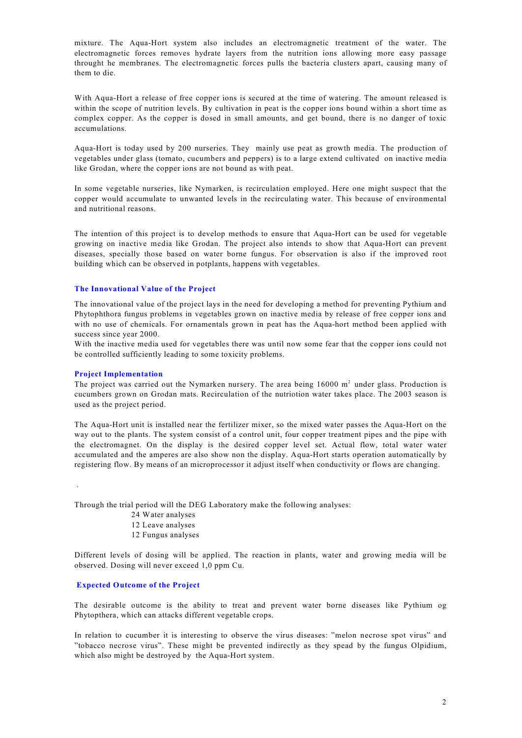mixture. The Aqua-Hort system also includes an electromagnetic treatment of the water. The electromagnetic forces removes hydrate layers from the nutrition ions allowing more easy passage throught he membranes. The electromagnetic forces pulls the bacteria clusters apart, causing many of them to die.

With Aqua-Hort a release of free copper ions is secured at the time of watering. The amount released is within the scope of nutrition levels. By cultivation in peat is the copper ions bound within a short time as complex copper. As the copper is dosed in small amounts, and get bound, there is no danger of toxic accumulations.

Aqua-Hort is today used by 200 nurseries. They mainly use peat as growth media. The production of vegetables under glass (tomato, cucumbers and peppers) is to a large extend cultivated on inactive media like Grodan, where the copper ions are not bound as with peat.

In some vegetable nurseries, like Nymarken, is recirculation employed. Here one might suspect that the copper would accumulate to unwanted levels in the recirculating water. This because of environmental and nutritional reasons.

The intention of this project is to develop methods to ensure that Aqua-Hort can be used for vegetable growing on inactive media like Grodan. The project also intends to show that Aqua-Hort can prevent diseases, specially those based on water borne fungus. For observation is also if the improved root building which can be observed in potplants, happens with vegetables.

#### **The Innovational Value of the Project**

The innovational value of the project lays in the need for developing a method for preventing Pythium and Phytophthora fungus problems in vegetables grown on inactive media by release of free copper ions and with no use of chemicals. For ornamentals grown in peat has the Aqua-hort method been applied with success since year 2000.

With the inactive media used for vegetables there was until now some fear that the copper ions could not be controlled sufficiently leading to some toxicity problems.

#### **Project Implementation**

The project was carried out the Nymarken nursery. The area being  $16000 \text{ m}^2$  under glass. Production is cucumbers grown on Grodan mats. Recirculation of the nutriotion water takes place. The 2003 season is used as the project period.

The Aqua-Hort unit is installed near the fertilizer mixer, so the mixed water passes the Aqua-Hort on the way out to the plants. The system consist of a control unit, four copper treatment pipes and the pipe with the electromagnet. On the display is the desired copper level set. Actual flow, total water water accumulated and the amperes are also show non the display. Aqua-Hort starts operation automatically by registering flow. By means of an microprocessor it adjust itself when conductivity or flows are changing.

.

Through the trial period will the DEG Laboratory make the following analyses:

- 24 Water analyses
- 12 Leave analyses
- 12 Fungus analyses

Different levels of dosing will be applied. The reaction in plants, water and growing media will be observed. Dosing will never exceed 1,0 ppm Cu.

#### **Expected Outcome of the Project**

The desirable outcome is the ability to treat and prevent water borne diseases like Pythium og Phytopthera, which can attacks different vegetable crops.

In relation to cucumber it is interesting to observe the virus diseases: "melon necrose spot virus" and "tobacco necrose virus". These might be prevented indirectly as they spead by the fungus Olpidium, which also might be destroyed by the Aqua-Hort system.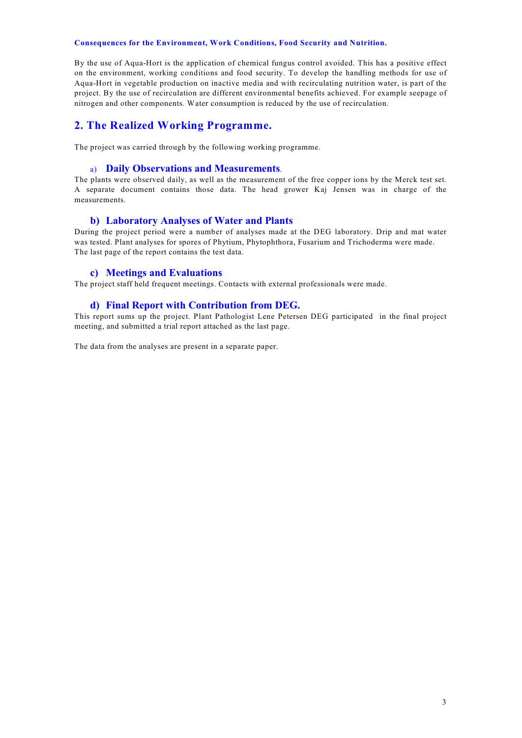#### **Consequences for the Environment, Work Conditions, Food Security and Nutrition.**

By the use of Aqua-Hort is the application of chemical fungus control avoided. This has a positive effect on the environment, working conditions and food security. To develop the handling methods for use of Aqua-Hort in vegetable production on inactive media and with recirculating nutrition water, is part of the project. By the use of recirculation are different environmental benefits achieved. For example seepage of nitrogen and other components. Water consumption is reduced by the use of recirculation.

### **2. The Realized Working Programme.**

The project was carried through by the following working programme.

#### a) **Daily Observations and Measurements**.

The plants were observed daily, as well as the measurement of the free copper ions by the Merck test set. A separate document contains those data. The head grower Kaj Jensen was in charge of the measurements.

#### **b) Laboratory Analyses of Water and Plants**

During the project period were a number of analyses made at the DEG laboratory. Drip and mat water was tested. Plant analyses for spores of Phytium, Phytophthora, Fusarium and Trichoderma were made. The last page of the report contains the test data.

#### **c) Meetings and Evaluations**

The project staff held frequent meetings. Contacts with external professionals were made.

#### **d) Final Report with Contribution from DEG.**

This report sums up the project. Plant Pathologist Lene Petersen DEG participated in the final project meeting, and submitted a trial report attached as the last page.

The data from the analyses are present in a separate paper.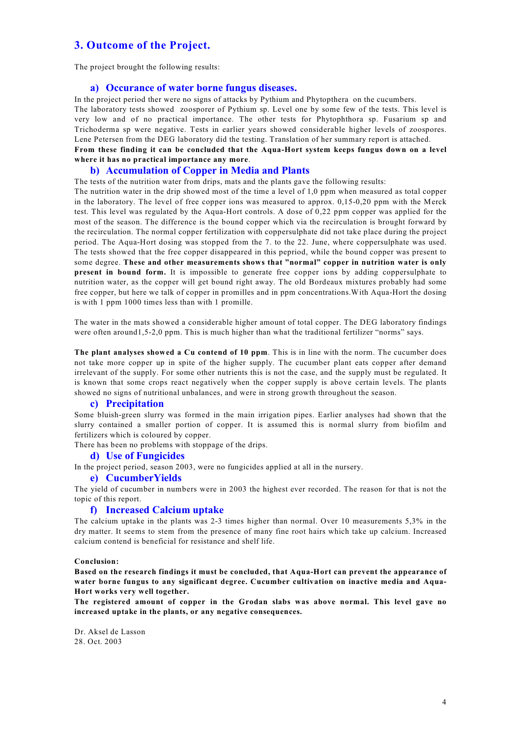### **3. Outcome of the Project.**

The project brought the following results:

#### **a) Occurance of water borne fungus diseases.**

In the project period ther were no signs of attacks by Pythium and Phytopthera on the cucumbers. The laboratory tests showed zoosporer of Pythium sp. Level one by some few of the tests. This level is very low and of no practical importance. The other tests for Phytophthora sp. Fusarium sp and Trichoderma sp were negative. Tests in earlier years showed considerable higher levels of zoospores. Lene Petersen from the DEG laboratory did the testing. Translation of her summary report is attached. **From these finding it can be concluded that the Aqua-Hort system keeps fungus down on a level where it has no practical importance any more**.

#### **b) Accumulation of Copper in Media and Plants**

The tests of the nutrition water from drips, mats and the plants gave the following results:

The nutrition water in the drip showed most of the time a level of 1,0 ppm when measured as total copper in the laboratory. The level of free copper ions was measured to approx. 0,15-0,20 ppm with the Merck test. This level was regulated by the Aqua-Hort controls. A dose of 0,22 ppm copper was applied for the most of the season. The difference is the bound copper which via the recirculation is brought forward by the recirculation. The normal copper fertilization with coppersulphate did not take place during the project period. The Aqua-Hort dosing was stopped from the 7. to the 22. June, where coppersulphate was used. The tests showed that the free copper disappeared in this pepriod, while the bound copper was present to some degree. **These and other measurements shows that "normal" copper in nutrition water is only present in bound form.** It is impossible to generate free copper ions by adding coppersulphate to nutrition water, as the copper will get bound right away. The old Bordeaux mixtures probably had some free copper, but here we talk of copper in promilles and in ppm concentrations.With Aqua-Hort the dosing is with 1 ppm 1000 times less than with 1 promille.

The water in the mats showed a considerable higher amount of total copper. The DEG laboratory findings were often around 1,5-2,0 ppm. This is much higher than what the traditional fertilizer "norms" says.

**The plant analyses showed a Cu contend of 10 ppm**. This is in line with the norm. The cucumber does not take more copper up in spite of the higher supply. The cucumber plant eats copper after demand irrelevant of the supply. For some other nutrients this is not the case, and the supply must be regulated. It is known that some crops react negatively when the copper supply is above certain levels. The plants showed no signs of nutritional unbalances, and were in strong growth throughout the season.

#### **c) Precipitation**

Some bluish-green slurry was formed in the main irrigation pipes. Earlier analyses had shown that the slurry contained a smaller portion of copper. It is assumed this is normal slurry from biofilm and fertilizers which is coloured by copper.

There has been no problems with stoppage of the drips.

#### **d) Use of Fungicides**

In the project period, season 2003, were no fungicides applied at all in the nursery.

#### **e) CucumberYields**

The yield of cucumber in numbers were in 2003 the highest ever recorded. The reason for that is not the topic of this report.

#### **f) Increased Calcium uptake**

The calcium uptake in the plants was 2-3 times higher than normal. Over 10 measurements 5,3% in the dry matter. It seems to stem from the presence of many fine root hairs which take up calcium. Increased calcium contend is beneficial for resistance and shelf life.

#### **Conclusion:**

**Based on the research findings it must be concluded, that Aqua-Hort can prevent the appearance of water borne fungus to any significant degree. Cucumber cultivation on inactive media and Aqua-Hort works very well together.**

**The registered amount of copper in the Grodan slabs was above normal. This level gave no increased uptake in the plants, or any negative consequences.** 

Dr. Aksel de Lasson 28. Oct. 2003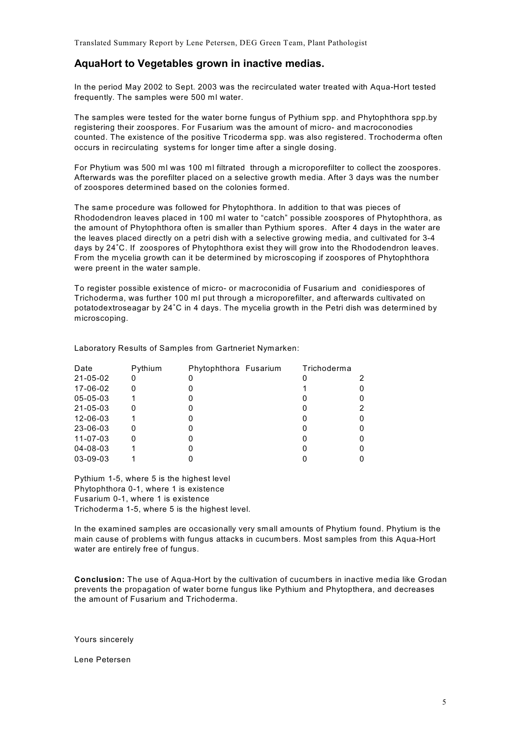### **AquaHort to Vegetables grown in inactive medias.**

In the period May 2002 to Sept. 2003 was the recirculated water treated with Aqua-Hort tested frequently. The samples were 500 ml water.

The samples were tested for the water borne fungus of Pythium spp. and Phytophthora spp.by registering their zoospores. For Fusarium was the amount of micro- and macroconodies counted. The existence of the positive Tricoderma spp. was also registered. Trochoderma often occurs in recirculating systems for longer time after a single dosing.

For Phytium was 500 ml was 100 ml filtrated through a microporefilter to collect the zoospores. Afterwards was the porefilter placed on a selective growth media. After 3 days was the number of zoospores determined based on the colonies formed.

The same procedure was followed for Phytophthora. In addition to that was pieces of Rhododendron leaves placed in 100 ml water to "catch" possible zoospores of Phytophthora, as the amount of Phytophthora often is smaller than Pythium spores. After 4 days in the water are the leaves placed directly on a petri dish with a selective growing media, and cultivated for 3-4 days by 24°C. If zoospores of Phytophthora exist they will grow into the Rhododendron leaves. From the mycelia growth can it be determined by microscoping if zoospores of Phytophthora were preent in the water sample.

To register possible existence of micro- or macroconidia of Fusarium and conidiespores of Trichoderma, was further 100 ml put through a microporefilter, and afterwards cultivated on potatodextroseagar by 24°C in 4 days. The mycelia growth in the Petri dish was determined by microscoping.

| Date     | Pythium | Phytophthora Fusarium | Trichoderma |  |
|----------|---------|-----------------------|-------------|--|
| 21-05-02 |         |                       |             |  |
| 17-06-02 | 0       |                       |             |  |
| 05-05-03 |         |                       |             |  |
| 21-05-03 |         |                       |             |  |
| 12-06-03 |         |                       |             |  |
| 23-06-03 |         |                       |             |  |
| 11-07-03 |         |                       |             |  |
| 04-08-03 |         |                       |             |  |
| 03-09-03 |         |                       |             |  |

Laboratory Results of Samples from Gartneriet Nymarken:

Pythium 1-5, where 5 is the highest level Phytophthora 0-1, where 1 is existence Fusarium 0-1, where 1 is existence Trichoderma 1-5, where 5 is the highest level.

In the examined samples are occasionally very small amounts of Phytium found. Phytium is the main cause of problems with fungus attacks in cucumbers. Most samples from this Aqua-Hort water are entirely free of fungus.

**Conclusion:** The use of Aqua-Hort by the cultivation of cucumbers in inactive media like Grodan prevents the propagation of water borne fungus like Pythium and Phytopthera, and decreases the amount of Fusarium and Trichoderma.

Yours sincerely

Lene Petersen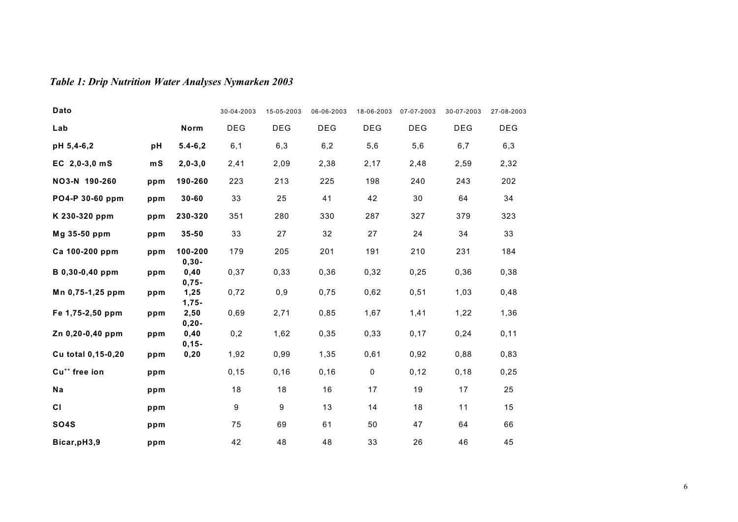# *Table 1: Drip Nutrition Water Analyses Nymarken 2003*

| Dato                      |     |                     | 30-04-2003 | 15-05-2003 | 06-06-2003 | 18-06-2003  | 07-07-2003 | 30-07-2003 | 27-08-2003 |
|---------------------------|-----|---------------------|------------|------------|------------|-------------|------------|------------|------------|
| Lab                       |     | Norm                | <b>DEG</b> | <b>DEG</b> | <b>DEG</b> | <b>DEG</b>  | <b>DEG</b> | <b>DEG</b> | <b>DEG</b> |
| pH 5,4-6,2                | pH  | $5.4 - 6.2$         | 6,1        | 6,3        | 6,2        | 5,6         | 5,6        | 6,7        | 6,3        |
| EC $2,0-3,0$ mS           | mS  | $2,0-3,0$           | 2,41       | 2,09       | 2,38       | 2,17        | 2,48       | 2,59       | 2,32       |
| NO3-N 190-260             | ppm | 190-260             | 223        | 213        | 225        | 198         | 240        | 243        | 202        |
| PO4-P 30-60 ppm           | ppm | $30 - 60$           | 33         | 25         | 41         | 42          | 30         | 64         | 34         |
| K 230-320 ppm             | ppm | 230-320             | 351        | 280        | 330        | 287         | 327        | 379        | 323        |
| Mg 35-50 ppm              | ppm | 35-50               | 33         | 27         | 32         | 27          | 24         | 34         | 33         |
| Ca 100-200 ppm            | ppm | 100-200<br>$0,30 -$ | 179        | 205        | 201        | 191         | 210        | 231        | 184        |
| B 0,30-0,40 ppm           | ppm | 0,40<br>$0,75-$     | 0,37       | 0,33       | 0,36       | 0,32        | 0,25       | 0,36       | 0,38       |
| Mn 0,75-1,25 ppm          | ppm | 1,25<br>$1,75-$     | 0,72       | 0,9        | 0,75       | 0,62        | 0,51       | 1,03       | 0,48       |
| Fe 1,75-2,50 ppm          | ppm | 2,50<br>$0,20 -$    | 0,69       | 2,71       | 0,85       | 1,67        | 1,41       | 1,22       | 1,36       |
| Zn 0,20-0,40 ppm          | ppm | 0,40<br>$0, 15 -$   | 0,2        | 1,62       | 0,35       | 0,33        | 0,17       | 0,24       | 0,11       |
| Cu total 0,15-0,20        | ppm | 0,20                | 1,92       | 0,99       | 1,35       | 0,61        | 0,92       | 0,88       | 0,83       |
| Cu <sup>++</sup> free ion | ppm |                     | 0, 15      | 0, 16      | 0, 16      | $\mathbf 0$ | 0,12       | 0, 18      | 0,25       |
| Na                        | ppm |                     | 18         | 18         | 16         | 17          | 19         | 17         | 25         |
| CI                        | ppm |                     | 9          | 9          | 13         | 14          | 18         | 11         | 15         |
| <b>SO4S</b>               | ppm |                     | 75         | 69         | 61         | 50          | 47         | 64         | 66         |
| Bicar, pH3, 9             | ppm |                     | 42         | 48         | 48         | 33          | 26         | 46         | 45         |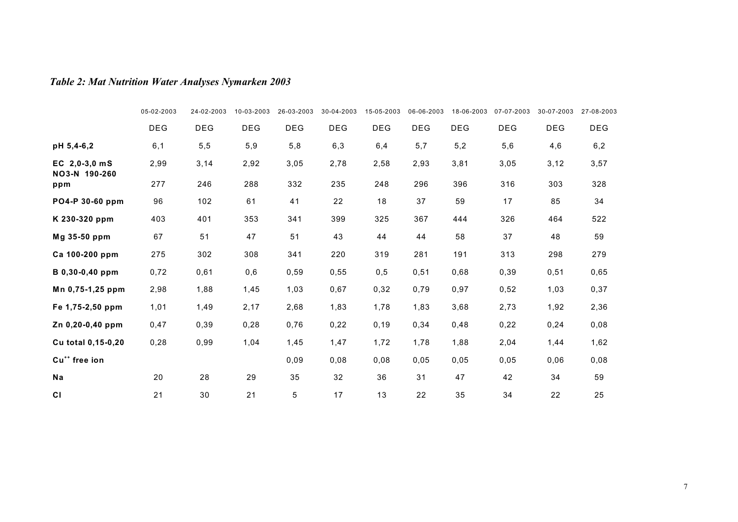# *Table 2: Mat Nutrition Water Analyses Nymarken 2003*

|                                  | 05-02-2003 | 24-02-2003 | 10-03-2003 | 26-03-2003 | 30-04-2003 | 15-05-2003 | 06-06-2003 | 18-06-2003 | 07-07-2003 | 30-07-2003 | 27-08-2003 |
|----------------------------------|------------|------------|------------|------------|------------|------------|------------|------------|------------|------------|------------|
|                                  | <b>DEG</b> | <b>DEG</b> | DEG        | <b>DEG</b> | <b>DEG</b> | <b>DEG</b> | <b>DEG</b> | DEG        | DEG        | <b>DEG</b> | <b>DEG</b> |
| pH 5,4-6,2                       | 6,1        | 5,5        | 5,9        | 5,8        | 6,3        | 6,4        | 5,7        | 5,2        | 5,6        | 4,6        | 6,2        |
| EC $2,0-3,0$ mS<br>NO3-N 190-260 | 2,99       | 3,14       | 2,92       | 3,05       | 2,78       | 2,58       | 2,93       | 3,81       | 3,05       | 3,12       | 3,57       |
| ppm                              | 277        | 246        | 288        | 332        | 235        | 248        | 296        | 396        | 316        | 303        | 328        |
| PO4-P 30-60 ppm                  | 96         | 102        | 61         | 41         | 22         | 18         | 37         | 59         | 17         | 85         | 34         |
| K 230-320 ppm                    | 403        | 401        | 353        | 341        | 399        | 325        | 367        | 444        | 326        | 464        | 522        |
| Mg 35-50 ppm                     | 67         | 51         | 47         | 51         | 43         | 44         | 44         | 58         | 37         | 48         | 59         |
| Ca 100-200 ppm                   | 275        | 302        | 308        | 341        | 220        | 319        | 281        | 191        | 313        | 298        | 279        |
| B 0,30-0,40 ppm                  | 0,72       | 0,61       | 0,6        | 0,59       | 0,55       | 0,5        | 0,51       | 0,68       | 0,39       | 0,51       | 0,65       |
| Mn 0,75-1,25 ppm                 | 2,98       | 1,88       | 1,45       | 1,03       | 0,67       | 0,32       | 0,79       | 0,97       | 0,52       | 1,03       | 0,37       |
| Fe 1,75-2,50 ppm                 | 1,01       | 1,49       | 2,17       | 2,68       | 1,83       | 1,78       | 1,83       | 3,68       | 2,73       | 1,92       | 2,36       |
| Zn 0,20-0,40 ppm                 | 0,47       | 0,39       | 0,28       | 0,76       | 0,22       | 0, 19      | 0,34       | 0,48       | 0,22       | 0,24       | 0,08       |
| Cu total 0,15-0,20               | 0,28       | 0,99       | 1,04       | 1,45       | 1,47       | 1,72       | 1,78       | 1,88       | 2,04       | 1,44       | 1,62       |
| Cu <sup>++</sup> free ion        |            |            |            | 0,09       | 0,08       | 0,08       | 0,05       | 0,05       | 0,05       | 0,06       | 0,08       |
| Na                               | 20         | 28         | 29         | 35         | 32         | 36         | 31         | 47         | 42         | 34         | 59         |
| <b>CI</b>                        | 21         | 30         | 21         | 5          | 17         | 13         | 22         | 35         | 34         | 22         | 25         |